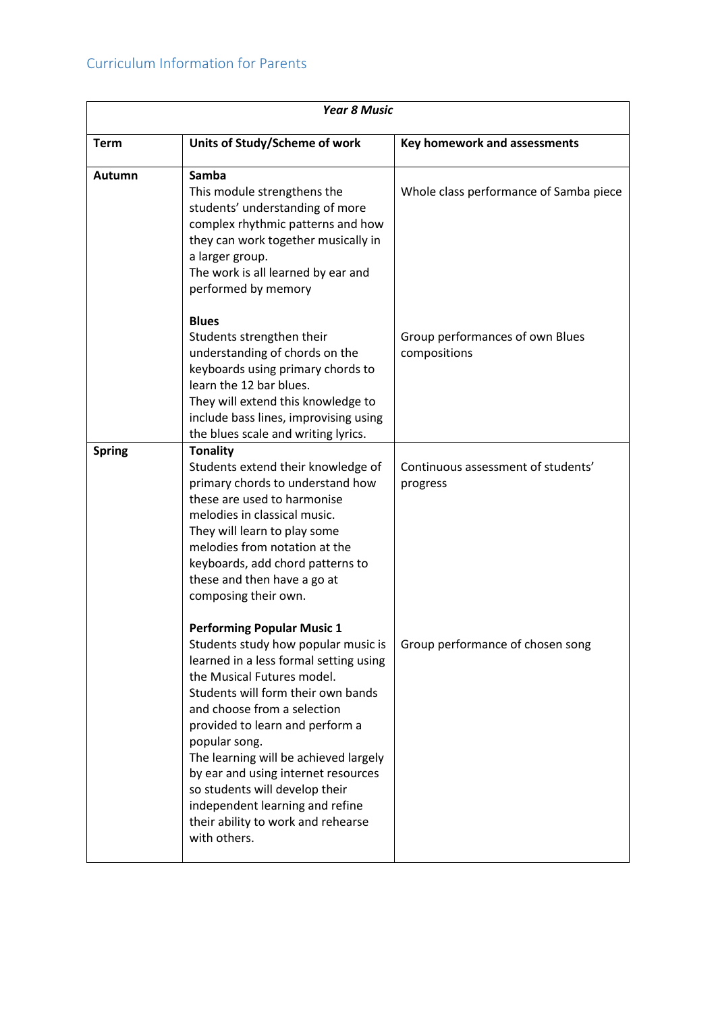| <b>Year 8 Music</b> |                                                                                                                                                                                                                                                                                                                                                                                                                                                                                      |                                                 |
|---------------------|--------------------------------------------------------------------------------------------------------------------------------------------------------------------------------------------------------------------------------------------------------------------------------------------------------------------------------------------------------------------------------------------------------------------------------------------------------------------------------------|-------------------------------------------------|
| <b>Term</b>         | Units of Study/Scheme of work                                                                                                                                                                                                                                                                                                                                                                                                                                                        | Key homework and assessments                    |
| Autumn              | Samba<br>This module strengthens the<br>students' understanding of more<br>complex rhythmic patterns and how<br>they can work together musically in<br>a larger group.<br>The work is all learned by ear and<br>performed by memory                                                                                                                                                                                                                                                  | Whole class performance of Samba piece          |
|                     | <b>Blues</b><br>Students strengthen their<br>understanding of chords on the<br>keyboards using primary chords to<br>learn the 12 bar blues.<br>They will extend this knowledge to<br>include bass lines, improvising using<br>the blues scale and writing lyrics.                                                                                                                                                                                                                    | Group performances of own Blues<br>compositions |
| <b>Spring</b>       | <b>Tonality</b><br>Students extend their knowledge of<br>primary chords to understand how<br>these are used to harmonise<br>melodies in classical music.<br>They will learn to play some<br>melodies from notation at the<br>keyboards, add chord patterns to<br>these and then have a go at<br>composing their own.                                                                                                                                                                 | Continuous assessment of students'<br>progress  |
|                     | <b>Performing Popular Music 1</b><br>Students study how popular music is<br>learned in a less formal setting using<br>the Musical Futures model.<br>Students will form their own bands<br>and choose from a selection<br>provided to learn and perform a<br>popular song.<br>The learning will be achieved largely<br>by ear and using internet resources<br>so students will develop their<br>independent learning and refine<br>their ability to work and rehearse<br>with others. | Group performance of chosen song                |